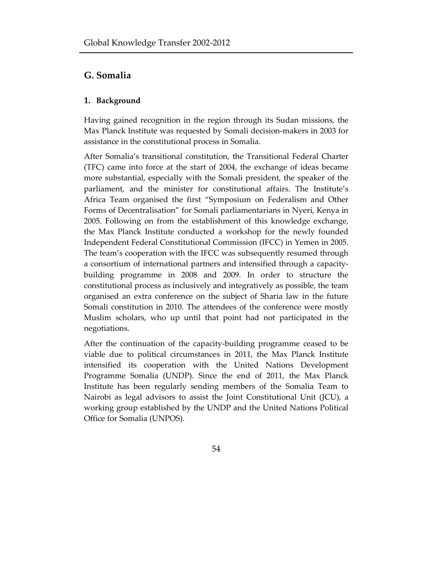# **G. Somalia**

## **1. Background**

Having gained recognition in the region through its Sudan missions, the Max Planck Institute was requested by Somali decision-makers in 2003 for assistance in the constitutional process in Somalia.

After Somalia's transitional constitution, the Transitional Federal Charter (TFC) came into force at the start of 2004, the exchange of ideas became more substantial, especially with the Somali president, the speaker of the parliament, and the minister for constitutional affairs. The Institute's Africa Team organised the first "Symposium on Federalism and Other Forms of Decentralisation" for Somali parliamentarians in Nyeri, Kenya in 2005. Following on from the establishment of this knowledge exchange, the Max Planck Institute conducted a workshop for the newly founded Independent Federal Constitutional Commission (IFCC) in Yemen in 2005. The team's cooperation with the IFCC was subsequently resumed through a consortium of international partners and intensified through a capacitybuilding programme in 2008 and 2009. In order to structure the constitutional process as inclusively and integratively as possible, the team organised an extra conference on the subject of Sharia law in the future Somali constitution in 2010. The attendees of the conference were mostly Muslim scholars, who up until that point had not participated in the negotiations.

After the continuation of the capacity-building programme ceased to be viable due to political circumstances in 2011, the Max Planck Institute intensified its cooperation with the United Nations Development Programme Somalia (UNDP). Since the end of 2011, the Max Planck Institute has been regularly sending members of the Somalia Team to Nairobi as legal advisors to assist the Joint Constitutional Unit (JCU), a working group established by the UNDP and the United Nations Political Office for Somalia (UNPOS).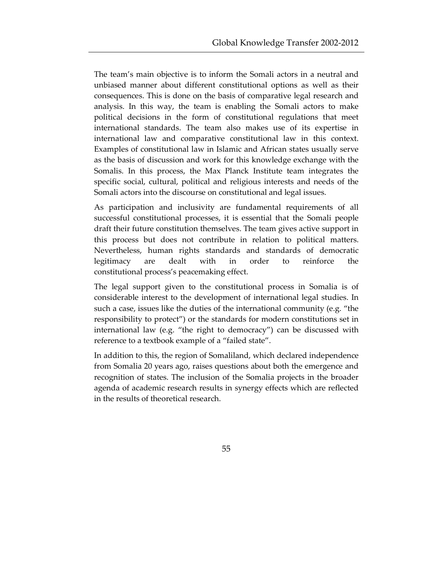The team's main objective is to inform the Somali actors in a neutral and unbiased manner about different constitutional options as well as their consequences. This is done on the basis of comparative legal research and analysis. In this way, the team is enabling the Somali actors to make political decisions in the form of constitutional regulations that meet international standards. The team also makes use of its expertise in international law and comparative constitutional law in this context. Examples of constitutional law in Islamic and African states usually serve as the basis of discussion and work for this knowledge exchange with the Somalis. In this process, the Max Planck Institute team integrates the specific social, cultural, political and religious interests and needs of the Somali actors into the discourse on constitutional and legal issues.

As participation and inclusivity are fundamental requirements of all successful constitutional processes, it is essential that the Somali people draft their future constitution themselves. The team gives active support in this process but does not contribute in relation to political matters. Nevertheless, human rights standards and standards of democratic legitimacy are dealt with in order to reinforce the constitutional process's peacemaking effect.

The legal support given to the constitutional process in Somalia is of considerable interest to the development of international legal studies. In such a case, issues like the duties of the international community (e.g. "the responsibility to protect") or the standards for modern constitutions set in international law (e.g. "the right to democracy") can be discussed with reference to a textbook example of a "failed state".

In addition to this, the region of Somaliland, which declared independence from Somalia 20 years ago, raises questions about both the emergence and recognition of states. The inclusion of the Somalia projects in the broader agenda of academic research results in synergy effects which are reflected in the results of theoretical research.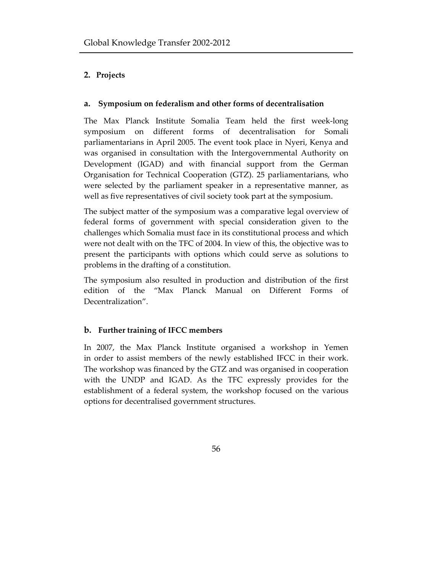## **2. Projects**

### **a. Symposium on federalism and other forms of decentralisation**

The Max Planck Institute Somalia Team held the first week-long symposium on different forms of decentralisation for Somali parliamentarians in April 2005. The event took place in Nyeri, Kenya and was organised in consultation with the Intergovernmental Authority on Development (IGAD) and with financial support from the German Organisation for Technical Cooperation (GTZ). 25 parliamentarians, who were selected by the parliament speaker in a representative manner, as well as five representatives of civil society took part at the symposium.

The subject matter of the symposium was a comparative legal overview of federal forms of government with special consideration given to the challenges which Somalia must face in its constitutional process and which were not dealt with on the TFC of 2004. In view of this, the objective was to present the participants with options which could serve as solutions to problems in the drafting of a constitution.

The symposium also resulted in production and distribution of the first edition of the "Max Planck Manual on Different Forms of Decentralization".

## **b. Further training of IFCC members**

In 2007, the Max Planck Institute organised a workshop in Yemen in order to assist members of the newly established IFCC in their work. The workshop was financed by the GTZ and was organised in cooperation with the UNDP and IGAD. As the TFC expressly provides for the establishment of a federal system, the workshop focused on the various options for decentralised government structures.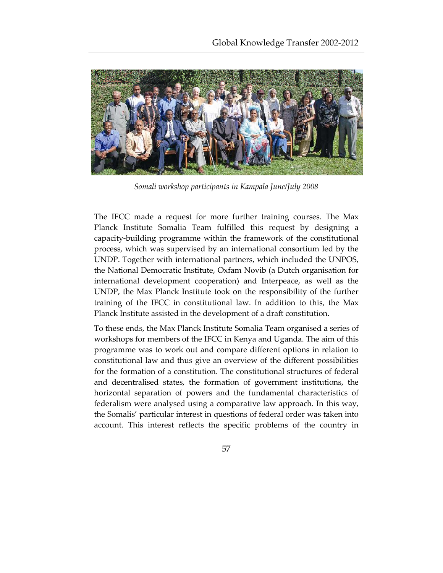

*Somali workshop participants in Kampala June/July 2008*

The IFCC made a request for more further training courses. The Max Planck Institute Somalia Team fulfilled this request by designing a capacity-building programme within the framework of the constitutional process, which was supervised by an international consortium led by the UNDP. Together with international partners, which included the UNPOS, the National Democratic Institute, Oxfam Novib (a Dutch organisation for international development cooperation) and Interpeace, as well as the UNDP, the Max Planck Institute took on the responsibility of the further training of the IFCC in constitutional law. In addition to this, the Max Planck Institute assisted in the development of a draft constitution.

To these ends, the Max Planck Institute Somalia Team organised a series of workshops for members of the IFCC in Kenya and Uganda. The aim of this programme was to work out and compare different options in relation to constitutional law and thus give an overview of the different possibilities for the formation of a constitution. The constitutional structures of federal and decentralised states, the formation of government institutions, the horizontal separation of powers and the fundamental characteristics of federalism were analysed using a comparative law approach. In this way, the Somalis' particular interest in questions of federal order was taken into account. This interest reflects the specific problems of the country in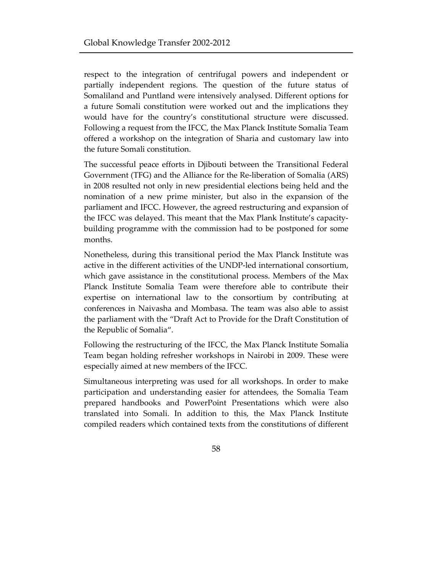respect to the integration of centrifugal powers and independent or partially independent regions. The question of the future status of Somaliland and Puntland were intensively analysed. Different options for a future Somali constitution were worked out and the implications they would have for the country's constitutional structure were discussed. Following a request from the IFCC, the Max Planck Institute Somalia Team offered a workshop on the integration of Sharia and customary law into the future Somali constitution.

The successful peace efforts in Djibouti between the Transitional Federal Government (TFG) and the Alliance for the Re-liberation of Somalia (ARS) in 2008 resulted not only in new presidential elections being held and the nomination of a new prime minister, but also in the expansion of the parliament and IFCC. However, the agreed restructuring and expansion of the IFCC was delayed. This meant that the Max Plank Institute's capacitybuilding programme with the commission had to be postponed for some months.

Nonetheless, during this transitional period the Max Planck Institute was active in the different activities of the UNDP-led international consortium, which gave assistance in the constitutional process. Members of the Max Planck Institute Somalia Team were therefore able to contribute their expertise on international law to the consortium by contributing at conferences in Naivasha and Mombasa. The team was also able to assist the parliament with the "Draft Act to Provide for the Draft Constitution of the Republic of Somalia".

Following the restructuring of the IFCC, the Max Planck Institute Somalia Team began holding refresher workshops in Nairobi in 2009. These were especially aimed at new members of the IFCC.

Simultaneous interpreting was used for all workshops. In order to make participation and understanding easier for attendees, the Somalia Team prepared handbooks and PowerPoint Presentations which were also translated into Somali. In addition to this, the Max Planck Institute compiled readers which contained texts from the constitutions of different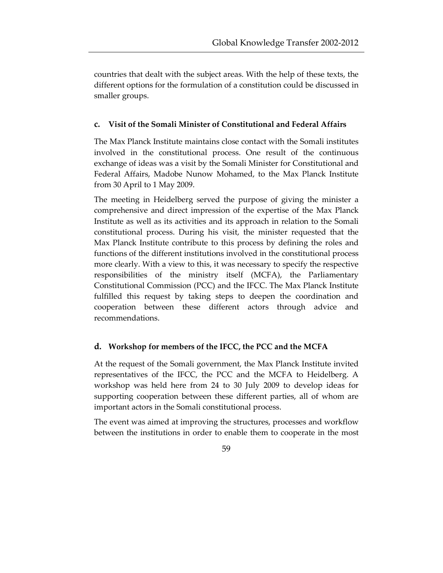countries that dealt with the subject areas. With the help of these texts, the different options for the formulation of a constitution could be discussed in smaller groups.

### **c. Visit of the Somali Minister of Constitutional and Federal Affairs**

The Max Planck Institute maintains close contact with the Somali institutes involved in the constitutional process. One result of the continuous exchange of ideas was a visit by the Somali Minister for Constitutional and Federal Affairs, Madobe Nunow Mohamed, to the Max Planck Institute from 30 April to 1 May 2009.

The meeting in Heidelberg served the purpose of giving the minister a comprehensive and direct impression of the expertise of the Max Planck Institute as well as its activities and its approach in relation to the Somali constitutional process. During his visit, the minister requested that the Max Planck Institute contribute to this process by defining the roles and functions of the different institutions involved in the constitutional process more clearly. With a view to this, it was necessary to specify the respective responsibilities of the ministry itself (MCFA), the Parliamentary Constitutional Commission (PCC) and the IFCC. The Max Planck Institute fulfilled this request by taking steps to deepen the coordination and cooperation between these different actors through advice and recommendations.

#### **d. Workshop for members of the IFCC, the PCC and the MCFA**

At the request of the Somali government, the Max Planck Institute invited representatives of the IFCC, the PCC and the MCFA to Heidelberg. A workshop was held here from 24 to 30 July 2009 to develop ideas for supporting cooperation between these different parties, all of whom are important actors in the Somali constitutional process.

The event was aimed at improving the structures, processes and workflow between the institutions in order to enable them to cooperate in the most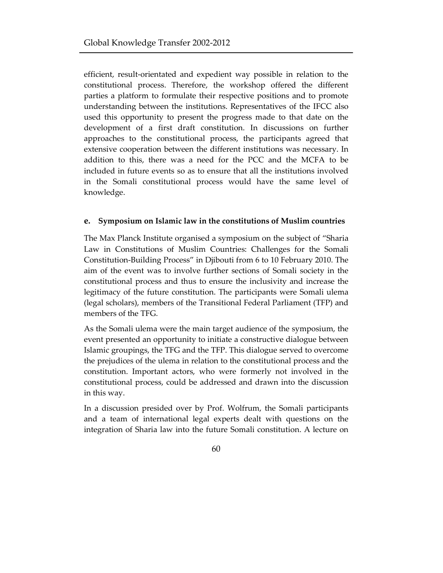efficient, result-orientated and expedient way possible in relation to the constitutional process. Therefore, the workshop offered the different parties a platform to formulate their respective positions and to promote understanding between the institutions. Representatives of the IFCC also used this opportunity to present the progress made to that date on the development of a first draft constitution. In discussions on further approaches to the constitutional process, the participants agreed that extensive cooperation between the different institutions was necessary. In addition to this, there was a need for the PCC and the MCFA to be included in future events so as to ensure that all the institutions involved in the Somali constitutional process would have the same level of knowledge.

#### **e. Symposium on Islamic law in the constitutions of Muslim countries**

The Max Planck Institute organised a symposium on the subject of "Sharia Law in Constitutions of Muslim Countries: Challenges for the Somali Constitution-Building Process" in Djibouti from 6 to 10 February 2010. The aim of the event was to involve further sections of Somali society in the constitutional process and thus to ensure the inclusivity and increase the legitimacy of the future constitution. The participants were Somali ulema (legal scholars), members of the Transitional Federal Parliament (TFP) and members of the TFG.

As the Somali ulema were the main target audience of the symposium, the event presented an opportunity to initiate a constructive dialogue between Islamic groupings, the TFG and the TFP. This dialogue served to overcome the prejudices of the ulema in relation to the constitutional process and the constitution. Important actors, who were formerly not involved in the constitutional process, could be addressed and drawn into the discussion in this way.

In a discussion presided over by Prof. Wolfrum, the Somali participants and a team of international legal experts dealt with questions on the integration of Sharia law into the future Somali constitution. A lecture on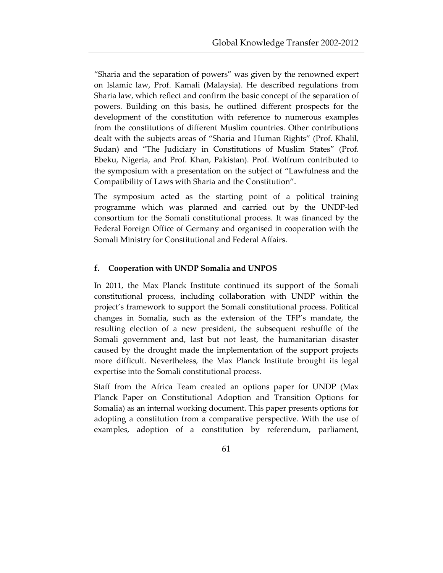"Sharia and the separation of powers" was given by the renowned expert on Islamic law, Prof. Kamali (Malaysia). He described regulations from Sharia law, which reflect and confirm the basic concept of the separation of powers. Building on this basis, he outlined different prospects for the development of the constitution with reference to numerous examples from the constitutions of different Muslim countries. Other contributions dealt with the subjects areas of "Sharia and Human Rights" (Prof. Khalil, Sudan) and "The Judiciary in Constitutions of Muslim States" (Prof. Ebeku, Nigeria, and Prof. Khan, Pakistan). Prof. Wolfrum contributed to the symposium with a presentation on the subject of "Lawfulness and the Compatibility of Laws with Sharia and the Constitution".

The symposium acted as the starting point of a political training programme which was planned and carried out by the UNDP-led consortium for the Somali constitutional process. It was financed by the Federal Foreign Office of Germany and organised in cooperation with the Somali Ministry for Constitutional and Federal Affairs.

#### **f. Cooperation with UNDP Somalia and UNPOS**

In 2011, the Max Planck Institute continued its support of the Somali constitutional process, including collaboration with UNDP within the project's framework to support the Somali constitutional process. Political changes in Somalia, such as the extension of the TFP's mandate, the resulting election of a new president, the subsequent reshuffle of the Somali government and, last but not least, the humanitarian disaster caused by the drought made the implementation of the support projects more difficult. Nevertheless, the Max Planck Institute brought its legal expertise into the Somali constitutional process.

Staff from the Africa Team created an options paper for UNDP (Max Planck Paper on Constitutional Adoption and Transition Options for Somalia) as an internal working document. This paper presents options for adopting a constitution from a comparative perspective. With the use of examples, adoption of a constitution by referendum, parliament,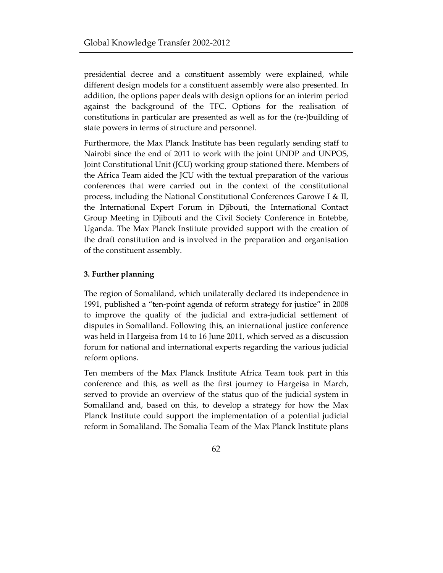presidential decree and a constituent assembly were explained, while different design models for a constituent assembly were also presented. In addition, the options paper deals with design options for an interim period against the background of the TFC. Options for the realisation of constitutions in particular are presented as well as for the (re-)building of state powers in terms of structure and personnel.

Furthermore, the Max Planck Institute has been regularly sending staff to Nairobi since the end of 2011 to work with the joint UNDP and UNPOS, Joint Constitutional Unit (JCU) working group stationed there. Members of the Africa Team aided the JCU with the textual preparation of the various conferences that were carried out in the context of the constitutional process, including the National Constitutional Conferences Garowe I & II, the International Expert Forum in Djibouti, the International Contact Group Meeting in Djibouti and the Civil Society Conference in Entebbe, Uganda. The Max Planck Institute provided support with the creation of the draft constitution and is involved in the preparation and organisation of the constituent assembly.

#### **3. Further planning**

The region of Somaliland, which unilaterally declared its independence in 1991, published a "ten-point agenda of reform strategy for justice" in 2008 to improve the quality of the judicial and extra-judicial settlement of disputes in Somaliland. Following this, an international justice conference was held in Hargeisa from 14 to 16 June 2011, which served as a discussion forum for national and international experts regarding the various judicial reform options.

Ten members of the Max Planck Institute Africa Team took part in this conference and this, as well as the first journey to Hargeisa in March, served to provide an overview of the status quo of the judicial system in Somaliland and, based on this, to develop a strategy for how the Max Planck Institute could support the implementation of a potential judicial reform in Somaliland. The Somalia Team of the Max Planck Institute plans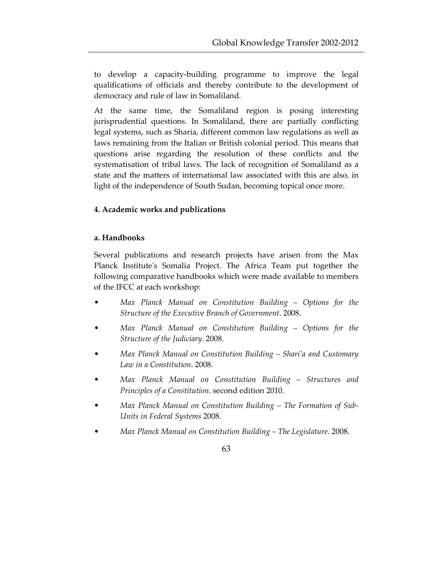to develop a capacity-building programme to improve the legal qualifications of officials and thereby contribute to the development of democracy and rule of law in Somaliland.

At the same time, the Somaliland region is posing interesting jurisprudential questions. In Somaliland, there are partially conflicting legal systems, such as Sharia, different common law regulations as well as laws remaining from the Italian or British colonial period. This means that questions arise regarding the resolution of these conflicts and the systematisation of tribal laws. The lack of recognition of Somaliland as a state and the matters of international law associated with this are also, in light of the independence of South Sudan, becoming topical once more.

## **4. Academic works and publications**

#### **a. Handbooks**

Several publications and research projects have arisen from the Max Planck Institute's Somalia Project. The Africa Team put together the following comparative handbooks which were made available to members of the IFCC at each workshop:

- *Max Planck Manual on Constitution Building Options for the Structure of the Executive Branch of Government*. 2008.
- *Max Planck Manual on Constitution Building Options for the Structure of the Judiciary*. 2008.
- *Max Planck Manual on Constitution Building Shari'a and Customary Law in a Constitution*. 2008.
- *Max Planck Manual on Constitution Building Structures and Principles of a Constitution*. second edition 2010.
- *Max Planck Manual on Constitution Building The Formation of Sub-Units in Federal Systems* 2008.
- *Max Planck Manual on Constitution Building The Legislature*. 2008.